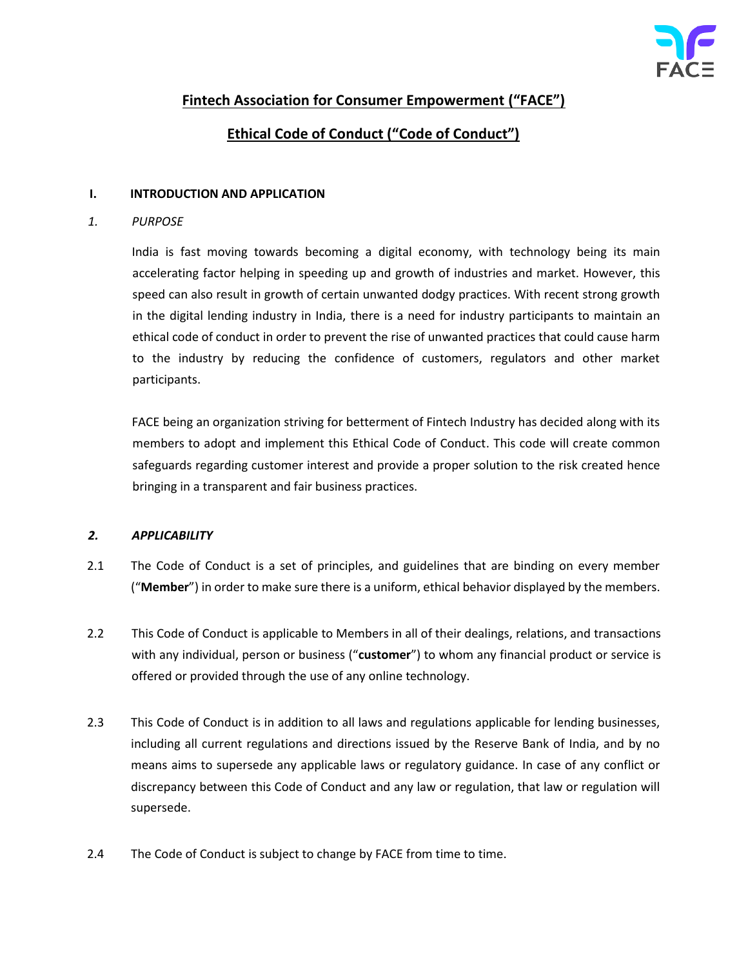

# **Fintech Association for Consumer Empowerment ("FACE")**

# **Ethical Code of Conduct ("Code of Conduct")**

#### **I. INTRODUCTION AND APPLICATION**

*1. PURPOSE* 

India is fast moving towards becoming a digital economy, with technology being its main accelerating factor helping in speeding up and growth of industries and market. However, this speed can also result in growth of certain unwanted dodgy practices. With recent strong growth in the digital lending industry in India, there is a need for industry participants to maintain an ethical code of conduct in order to prevent the rise of unwanted practices that could cause harm to the industry by reducing the confidence of customers, regulators and other market participants.

FACE being an organization striving for betterment of Fintech Industry has decided along with its members to adopt and implement this Ethical Code of Conduct. This code will create common safeguards regarding customer interest and provide a proper solution to the risk created hence bringing in a transparent and fair business practices.

## *2. APPLICABILITY*

- 2.1 The Code of Conduct is a set of principles, and guidelines that are binding on every member ("**Member**") in order to make sure there is a uniform, ethical behavior displayed by the members.
- 2.2 This Code of Conduct is applicable to Members in all of their dealings, relations, and transactions with any individual, person or business ("**customer**") to whom any financial product or service is offered or provided through the use of any online technology.
- 2.3 This Code of Conduct is in addition to all laws and regulations applicable for lending businesses, including all current regulations and directions issued by the Reserve Bank of India, and by no means aims to supersede any applicable laws or regulatory guidance. In case of any conflict or discrepancy between this Code of Conduct and any law or regulation, that law or regulation will supersede.
- 2.4 The Code of Conduct is subject to change by FACE from time to time.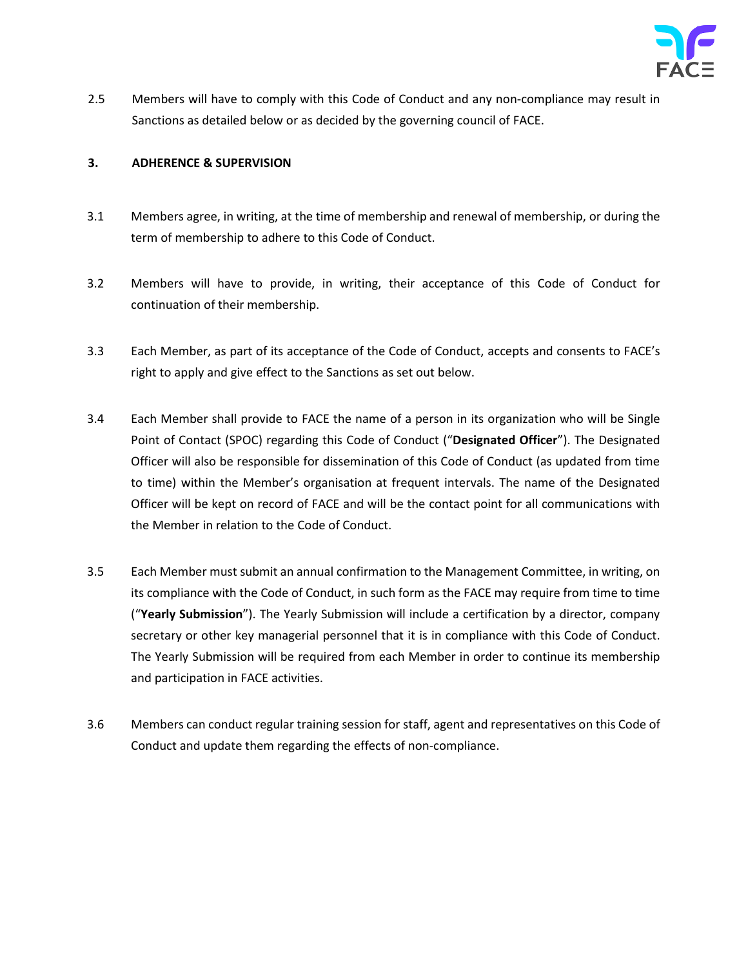

2.5 Members will have to comply with this Code of Conduct and any non-compliance may result in Sanctions as detailed below or as decided by the governing council of FACE.

#### **3. ADHERENCE & SUPERVISION**

- 3.1 Members agree, in writing, at the time of membership and renewal of membership, or during the term of membership to adhere to this Code of Conduct.
- 3.2 Members will have to provide, in writing, their acceptance of this Code of Conduct for continuation of their membership.
- 3.3 Each Member, as part of its acceptance of the Code of Conduct, accepts and consents to FACE's right to apply and give effect to the Sanctions as set out below.
- 3.4 Each Member shall provide to FACE the name of a person in its organization who will be Single Point of Contact (SPOC) regarding this Code of Conduct ("**Designated Officer**"). The Designated Officer will also be responsible for dissemination of this Code of Conduct (as updated from time to time) within the Member's organisation at frequent intervals. The name of the Designated Officer will be kept on record of FACE and will be the contact point for all communications with the Member in relation to the Code of Conduct.
- 3.5 Each Member must submit an annual confirmation to the Management Committee, in writing, on its compliance with the Code of Conduct, in such form as the FACE may require from time to time ("**Yearly Submission**"). The Yearly Submission will include a certification by a director, company secretary or other key managerial personnel that it is in compliance with this Code of Conduct. The Yearly Submission will be required from each Member in order to continue its membership and participation in FACE activities.
- 3.6 Members can conduct regular training session for staff, agent and representatives on this Code of Conduct and update them regarding the effects of non-compliance.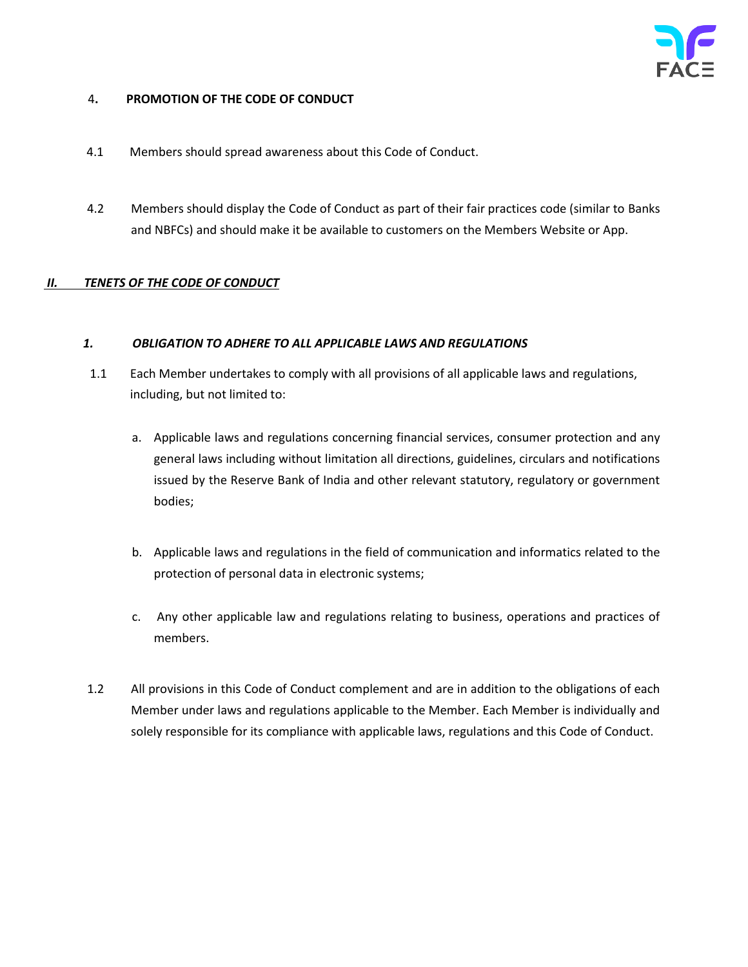## 4**. PROMOTION OF THE CODE OF CONDUCT**

- 4.1 Members should spread awareness about this Code of Conduct.
- 4.2 Members should display the Code of Conduct as part of their fair practices code (similar to Banks and NBFCs) and should make it be available to customers on the Members Website or App.

## *II. TENETS OF THE CODE OF CONDUCT*

## *1. OBLIGATION TO ADHERE TO ALL APPLICABLE LAWS AND REGULATIONS*

- 1.1 Each Member undertakes to comply with all provisions of all applicable laws and regulations, including, but not limited to:
	- a. Applicable laws and regulations concerning financial services, consumer protection and any general laws including without limitation all directions, guidelines, circulars and notifications issued by the Reserve Bank of India and other relevant statutory, regulatory or government bodies;
	- b. Applicable laws and regulations in the field of communication and informatics related to the protection of personal data in electronic systems;
	- c. Any other applicable law and regulations relating to business, operations and practices of members.
- 1.2 All provisions in this Code of Conduct complement and are in addition to the obligations of each Member under laws and regulations applicable to the Member. Each Member is individually and solely responsible for its compliance with applicable laws, regulations and this Code of Conduct.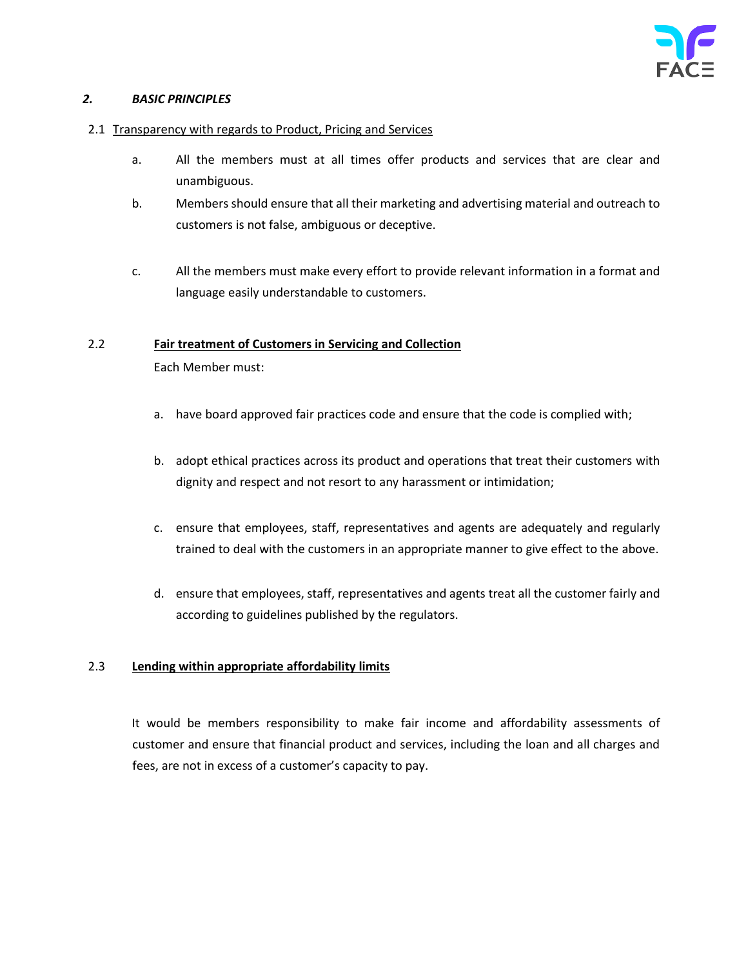## *2. BASIC PRINCIPLES*

#### 2.1 Transparency with regards to Product, Pricing and Services

- a. All the members must at all times offer products and services that are clear and unambiguous.
- b. Members should ensure that all their marketing and advertising material and outreach to customers is not false, ambiguous or deceptive.
- c. All the members must make every effort to provide relevant information in a format and language easily understandable to customers.

#### 2.2 **Fair treatment of Customers in Servicing and Collection**

Each Member must:

- a. have board approved fair practices code and ensure that the code is complied with;
- b. adopt ethical practices across its product and operations that treat their customers with dignity and respect and not resort to any harassment or intimidation;
- c. ensure that employees, staff, representatives and agents are adequately and regularly trained to deal with the customers in an appropriate manner to give effect to the above.
- d. ensure that employees, staff, representatives and agents treat all the customer fairly and according to guidelines published by the regulators.

## 2.3 **Lending within appropriate affordability limits**

It would be members responsibility to make fair income and affordability assessments of customer and ensure that financial product and services, including the loan and all charges and fees, are not in excess of a customer's capacity to pay.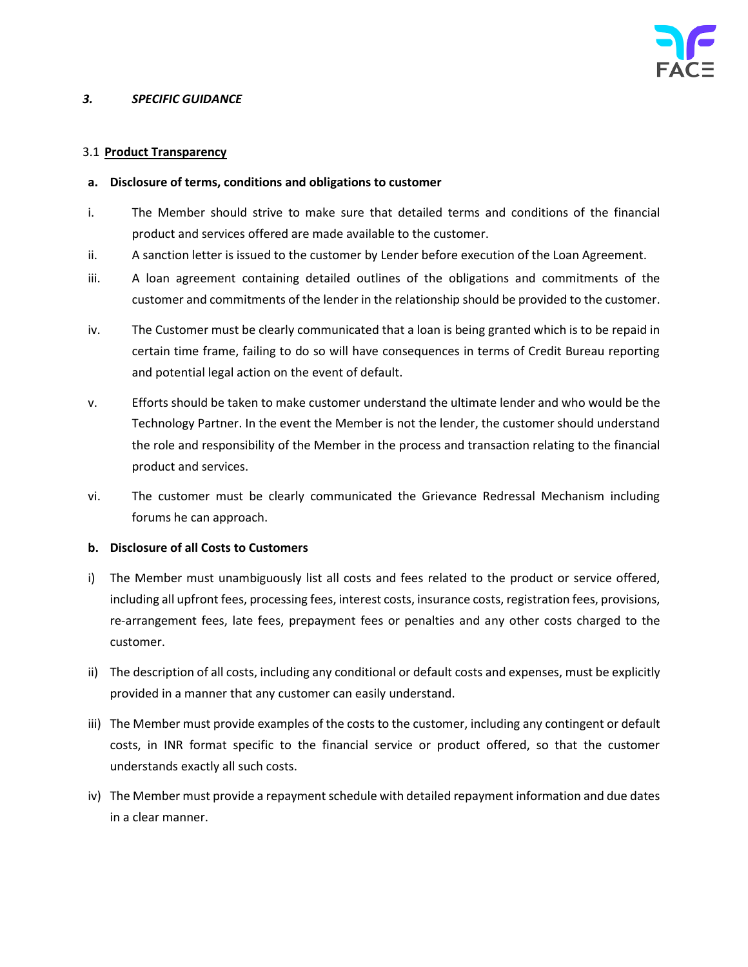## *3. SPECIFIC GUIDANCE*

## 3.1 **Product Transparency**

## **a. Disclosure of terms, conditions and obligations to customer**

- i. The Member should strive to make sure that detailed terms and conditions of the financial product and services offered are made available to the customer.
- ii. A sanction letter is issued to the customer by Lender before execution of the Loan Agreement.
- iii. A loan agreement containing detailed outlines of the obligations and commitments of the customer and commitments of the lender in the relationship should be provided to the customer.
- iv. The Customer must be clearly communicated that a loan is being granted which is to be repaid in certain time frame, failing to do so will have consequences in terms of Credit Bureau reporting and potential legal action on the event of default.
- v. Efforts should be taken to make customer understand the ultimate lender and who would be the Technology Partner. In the event the Member is not the lender, the customer should understand the role and responsibility of the Member in the process and transaction relating to the financial product and services.
- vi. The customer must be clearly communicated the Grievance Redressal Mechanism including forums he can approach.

## **b. Disclosure of all Costs to Customers**

- i) The Member must unambiguously list all costs and fees related to the product or service offered, including all upfront fees, processing fees, interest costs, insurance costs, registration fees, provisions, re-arrangement fees, late fees, prepayment fees or penalties and any other costs charged to the customer.
- ii) The description of all costs, including any conditional or default costs and expenses, must be explicitly provided in a manner that any customer can easily understand.
- iii) The Member must provide examples of the costs to the customer, including any contingent or default costs, in INR format specific to the financial service or product offered, so that the customer understands exactly all such costs.
- iv) The Member must provide a repayment schedule with detailed repayment information and due dates in a clear manner.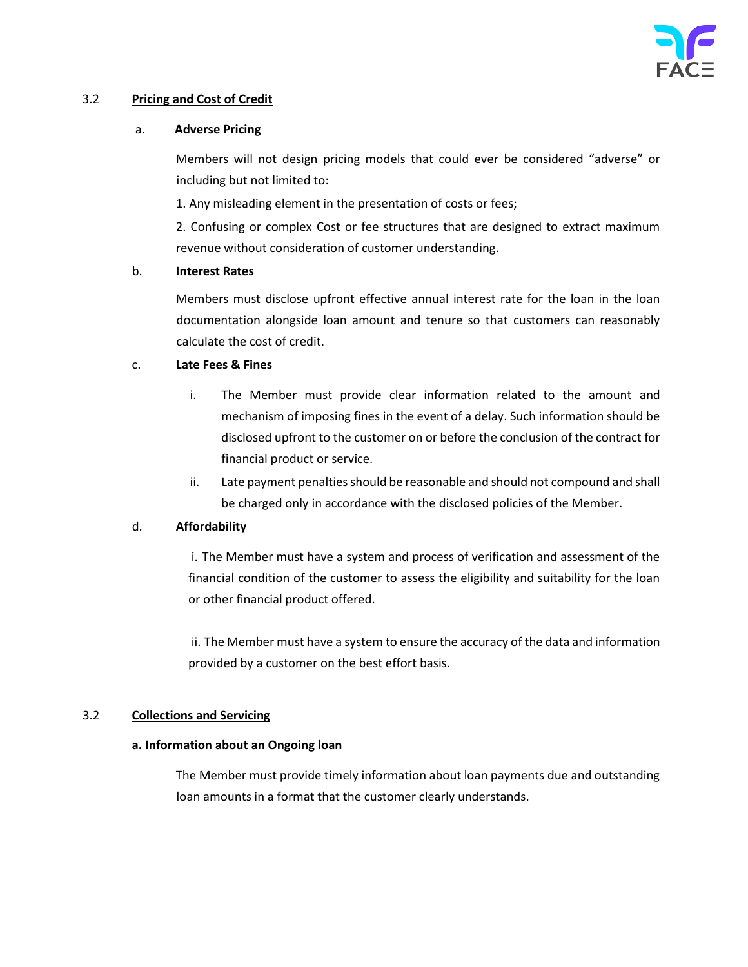## 3.2 **Pricing and Cost of Credit**

#### a. **Adverse Pricing**

Members will not design pricing models that could ever be considered "adverse" or including but not limited to:

1. Any misleading element in the presentation of costs or fees;

2. Confusing or complex Cost or fee structures that are designed to extract maximum revenue without consideration of customer understanding.

## b. **Interest Rates**

Members must disclose upfront effective annual interest rate for the loan in the loan documentation alongside loan amount and tenure so that customers can reasonably calculate the cost of credit.

## c. **Late Fees & Fines**

- i. The Member must provide clear information related to the amount and mechanism of imposing fines in the event of a delay. Such information should be disclosed upfront to the customer on or before the conclusion of the contract for financial product or service.
- ii. Late payment penalties should be reasonable and should not compound and shall be charged only in accordance with the disclosed policies of the Member.

## d. **Affordability**

i. The Member must have a system and process of verification and assessment of the financial condition of the customer to assess the eligibility and suitability for the loan or other financial product offered.

ii. The Member must have a system to ensure the accuracy of the data and information provided by a customer on the best effort basis.

## 3.2 **Collections and Servicing**

## **a. Information about an Ongoing loan**

The Member must provide timely information about loan payments due and outstanding loan amounts in a format that the customer clearly understands.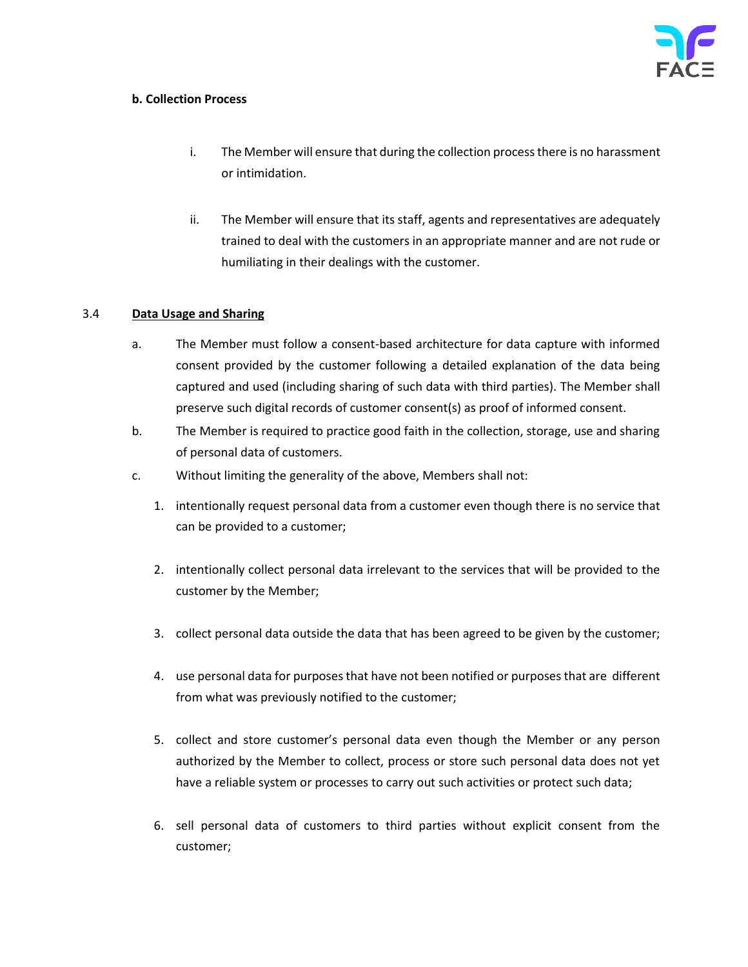## **b. Collection Process**

- i. The Member will ensure that during the collection process there is no harassment or intimidation.
- ii. The Member will ensure that its staff, agents and representatives are adequately trained to deal with the customers in an appropriate manner and are not rude or humiliating in their dealings with the customer.

## 3.4 **Data Usage and Sharing**

- a. The Member must follow a consent-based architecture for data capture with informed consent provided by the customer following a detailed explanation of the data being captured and used (including sharing of such data with third parties). The Member shall preserve such digital records of customer consent(s) as proof of informed consent.
- b. The Member is required to practice good faith in the collection, storage, use and sharing of personal data of customers.
- c. Without limiting the generality of the above, Members shall not:
	- 1. intentionally request personal data from a customer even though there is no service that can be provided to a customer;
	- 2. intentionally collect personal data irrelevant to the services that will be provided to the customer by the Member;
	- 3. collect personal data outside the data that has been agreed to be given by the customer;
	- 4. use personal data for purposes that have not been notified or purposes that are different from what was previously notified to the customer;
	- 5. collect and store customer's personal data even though the Member or any person authorized by the Member to collect, process or store such personal data does not yet have a reliable system or processes to carry out such activities or protect such data;
	- 6. sell personal data of customers to third parties without explicit consent from the customer;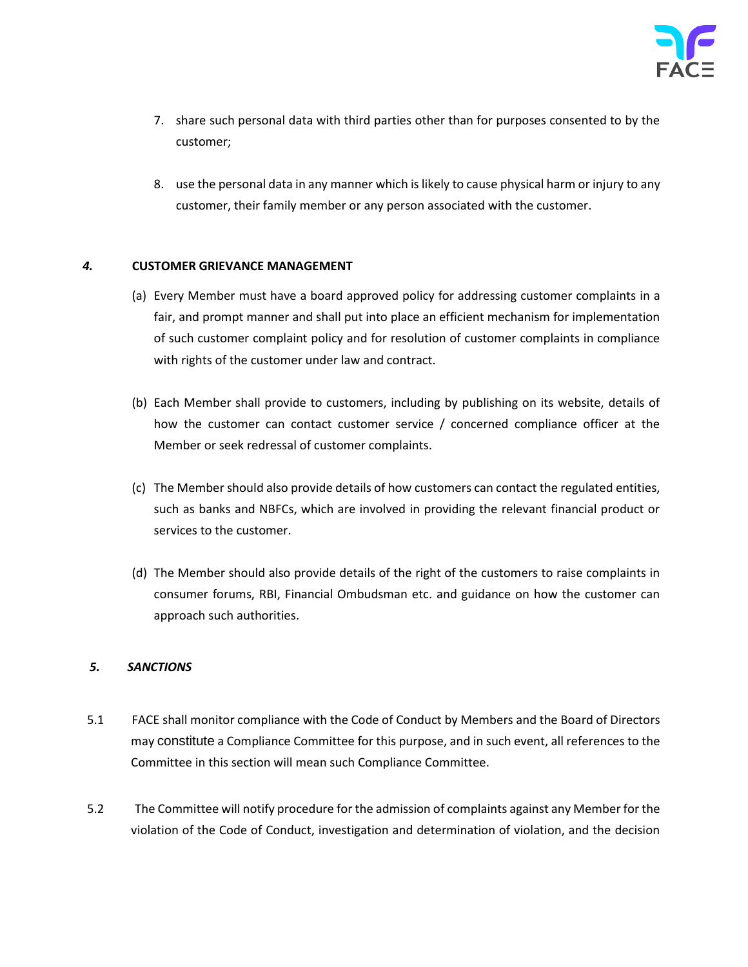- 7. share such personal data with third parties other than for purposes consented to by the customer;
- 8. use the personal data in any manner which is likely to cause physical harm or injury to any customer, their family member or any person associated with the customer.

## *4.* **CUSTOMER GRIEVANCE MANAGEMENT**

- (a) Every Member must have a board approved policy for addressing customer complaints in a fair, and prompt manner and shall put into place an efficient mechanism for implementation of such customer complaint policy and for resolution of customer complaints in compliance with rights of the customer under law and contract.
- (b) Each Member shall provide to customers, including by publishing on its website, details of how the customer can contact customer service / concerned compliance officer at the Member or seek redressal of customer complaints.
- (c) The Member should also provide details of how customers can contact the regulated entities, such as banks and NBFCs, which are involved in providing the relevant financial product or services to the customer.
- (d) The Member should also provide details of the right of the customers to raise complaints in consumer forums, RBI, Financial Ombudsman etc. and guidance on how the customer can approach such authorities.

## *5. SANCTIONS*

- 5.1 FACE shall monitor compliance with the Code of Conduct by Members and the Board of Directors may constitute a Compliance Committee for this purpose, and in such event, all references to the Committee in this section will mean such Compliance Committee.
- 5.2 The Committee will notify procedure for the admission of complaints against any Member for the violation of the Code of Conduct, investigation and determination of violation, and the decision